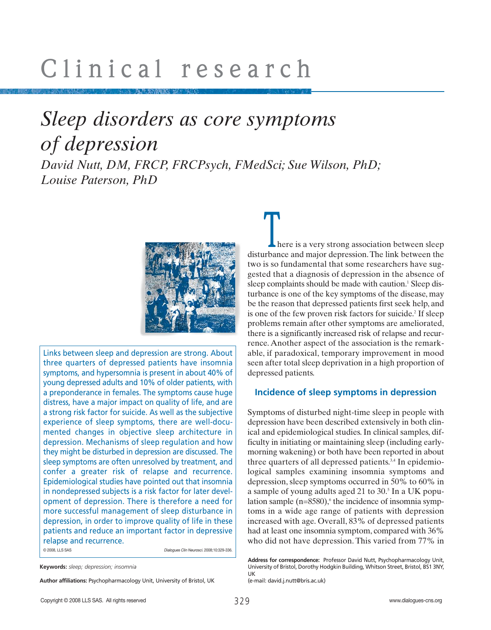### *Sleep disorders as core symptoms of depression*

*David Nutt, DM, FRCP, FRCPsych, FMedSci; Sue Wilson, PhD; Louise Paterson, PhD* 



Links between sleep and depression are strong. About three quarters of depressed patients have insomnia symptoms, and hypersomnia is present in about 40% of young depressed adults and 10% of older patients, with a preponderance in females. The symptoms cause huge distress, have a major impact on quality of life, and are a strong risk factor for suicide. As well as the subjective experience of sleep symptoms, there are well-documented changes in objective sleep architecture in depression. Mechanisms of sleep regulation and how they might be disturbed in depression are discussed. The sleep symptoms are often unresolved by treatment, and confer a greater risk of relapse and recurrence. Epidemiological studies have pointed out that insomnia in nondepressed subjects is a risk factor for later development of depression. There is therefore a need for more successful management of sleep disturbance in depression, in order to improve quality of life in these patients and reduce an important factor in depressive relapse and recurrence. © 2008, LLS SAS Dialogues Clin Neurosci. 2008;10:329-336.

**Keywords:** *sleep; depression; insomnia* 

**Author affiliations:** Psychopharmacology Unit, University of Bristol, UK

here is a very strong association between sleep **disturbance and major depression.** The link between sleep disturbance and major depression. The link between the two is so fundamental that some researchers have suggested that a diagnosis of depression in the absence of sleep complaints should be made with caution.<sup>1</sup> Sleep disturbance is one of the key symptoms of the disease, may be the reason that depressed patients first seek help, and is one of the few proven risk factors for suicide.<sup>2</sup> If sleep problems remain after other symptoms are ameliorated, there is a significantly increased risk of relapse and recurrence. Another aspect of the association is the remarkable, if paradoxical, temporary improvement in mood seen after total sleep deprivation in a high proportion of depressed patients.

#### **Incidence of sleep symptoms in depression**

Symptoms of disturbed night-time sleep in people with depression have been described extensively in both clinical and epidemiological studies. In clinical samples, difficulty in initiating or maintaining sleep (including earlymorning wakening) or both have been reported in about three quarters of all depressed patients.<sup>3,4</sup> In epidemiological samples examining insomnia symptoms and depression, sleep symptoms occurred in 50% to 60% in a sample of young adults aged 21 to 30.5 In a UK population sample  $(n=8580)$ , the incidence of insomnia symptoms in a wide age range of patients with depression increased with age. Overall, 83% of depressed patients had at least one insomnia symptom, compared with 36% who did not have depression. This varied from 77% in

(e-mail: david.j.nutt@bris.ac.uk)

**Address for correspondence:** Professor David Nutt, Psychopharmacology Unit, University of Bristol, Dorothy Hodgkin Building, Whitson Street, Bristol, BS1 3NY, UK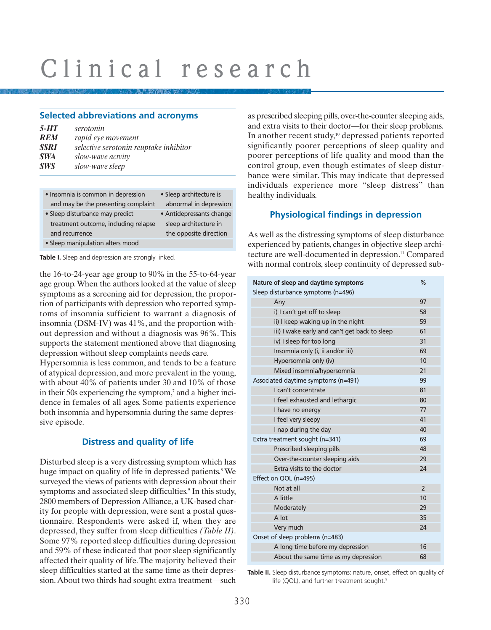#### **Selected abbreviations and acronyms**

| 5-HT | serotonin                              |
|------|----------------------------------------|
| REM  | rapid eye movement                     |
| SSRI | selective serotonin reuptake inhibitor |
| SWA  | slow-wave actvity                      |
| SWS  | slow-wave sleep                        |
|      |                                        |

| • Insomnia is common in depression   | • Sleep architecture is  |
|--------------------------------------|--------------------------|
| and may be the presenting complaint  | abnormal in depression   |
| • Sleep disturbance may predict      | • Antidepressants change |
| treatment outcome, including relapse | sleep architecture in    |
| and recurrence                       | the opposite direction   |
| • Sleep manipulation alters mood     |                          |

**Table I.** Sleep and depression are strongly linked.

the 16-to-24-year age group to 90% in the 55-to-64-year age group.When the authors looked at the value of sleep symptoms as a screening aid for depression, the proportion of participants with depression who reported symptoms of insomnia sufficient to warrant a diagnosis of insomnia (DSM-IV) was 41%, and the proportion without depression and without a diagnosis was 96%. This supports the statement mentioned above that diagnosing depression without sleep complaints needs care.

Hypersomnia is less common, and tends to be a feature of atypical depression, and more prevalent in the young, with about 40% of patients under 30 and 10% of those in their 50s experiencing the symptom,<sup>7</sup> and a higher incidence in females of all ages. Some patients experience both insomnia and hypersomnia during the same depressive episode.

### **Distress and quality of life**

Disturbed sleep is a very distressing symptom which has huge impact on quality of life in depressed patients.<sup>8</sup> We surveyed the views of patients with depression about their symptoms and associated sleep difficulties.<sup>9</sup> In this study, 2800 members of Depression Alliance, a UK-based charity for people with depression, were sent a postal questionnaire. Respondents were asked if, when they are depressed, they suffer from sleep difficulties *(Table II)*. Some 97% reported sleep difficulties during depression and 59% of these indicated that poor sleep significantly affected their quality of life. The majority believed their sleep difficulties started at the same time as their depression.About two thirds had sought extra treatment—such

as prescribed sleeping pills, over-the-counter sleeping aids, and extra visits to their doctor—for their sleep problems. In another recent study,<sup>10</sup> depressed patients reported significantly poorer perceptions of sleep quality and poorer perceptions of life quality and mood than the control group, even though estimates of sleep disturbance were similar. This may indicate that depressed individuals experience more "sleep distress" than healthy individuals.

### **Physiological findings in depression**

As well as the distressing symptoms of sleep disturbance experienced by patients, changes in objective sleep architecture are well-documented in depression.<sup>11</sup> Compared with normal controls, sleep continuity of depressed sub-

| Nature of sleep and daytime symptoms          |                |  |  |
|-----------------------------------------------|----------------|--|--|
| Sleep disturbance symptoms (n=496)            |                |  |  |
| Any                                           | 97             |  |  |
| i) I can't get off to sleep                   | 58             |  |  |
| ii) I keep waking up in the night             | 59             |  |  |
| iii) I wake early and can't get back to sleep | 61             |  |  |
| iv) I sleep for too long                      | 31             |  |  |
| Insomnia only (i, ii and/or iii)              | 69             |  |  |
| Hypersomnia only (iv)                         | 10             |  |  |
| Mixed insomnia/hypersomnia                    | 21             |  |  |
| Associated daytime symptoms (n=491)           | 99             |  |  |
| I can't concentrate                           | 81             |  |  |
| I feel exhausted and lethargic                | 80             |  |  |
| I have no energy                              | 77             |  |  |
| I feel very sleepy                            | 41             |  |  |
| I nap during the day                          | 40             |  |  |
| Extra treatment sought (n=341)                | 69             |  |  |
| Prescribed sleeping pills                     | 48             |  |  |
| Over-the-counter sleeping aids                | 29             |  |  |
| Extra visits to the doctor                    | 24             |  |  |
| Effect on QOL (n=495)                         |                |  |  |
| Not at all                                    | $\overline{2}$ |  |  |
| A little                                      | 10             |  |  |
| Moderately                                    | 29             |  |  |
| A lot                                         | 35             |  |  |
| Very much                                     | 24             |  |  |
| Onset of sleep problems (n=483)               |                |  |  |
| A long time before my depression              |                |  |  |
| About the same time as my depression          | 68             |  |  |

**Table II.** Sleep disturbance symptoms: nature, onset, effect on quality of life (QOL), and further treatment sought.<sup>9</sup>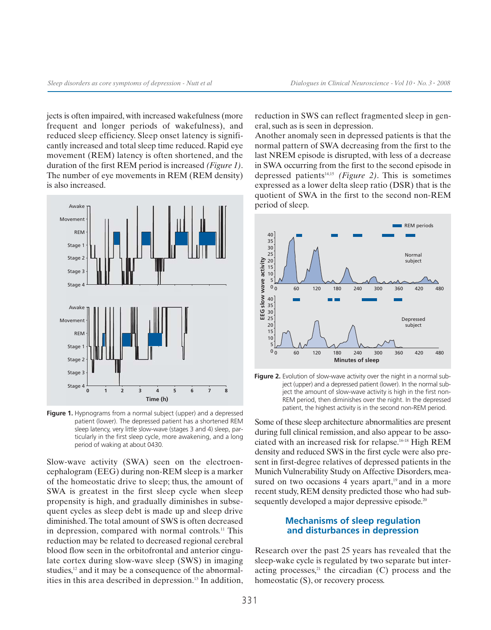jects is often impaired, with increased wakefulness (more frequent and longer periods of wakefulness), and reduced sleep efficiency. Sleep onset latency is significantly increased and total sleep time reduced. Rapid eye movement (REM) latency is often shortened, and the duration of the first REM period is increased *(Figure 1)*. The number of eye movements in REM (REM density) is also increased.



**Figure 1.** Hypnograms from a normal subject (upper) and a depressed patient (lower). The depressed patient has a shortened REM sleep latency, very little slow-wave (stages 3 and 4) sleep, particularly in the first sleep cycle, more awakening, and a long period of waking at about 0430.

Slow-wave activity (SWA) seen on the electroencephalogram (EEG) during non-REM sleep is a marker of the homeostatic drive to sleep; thus, the amount of SWA is greatest in the first sleep cycle when sleep propensity is high, and gradually diminishes in subsequent cycles as sleep debt is made up and sleep drive diminished.The total amount of SWS is often decreased in depression, compared with normal controls.11 This reduction may be related to decreased regional cerebral blood flow seen in the orbitofrontal and anterior cingulate cortex during slow-wave sleep (SWS) in imaging studies,<sup>12</sup> and it may be a consequence of the abnormalities in this area described in depression.13 In addition, reduction in SWS can reflect fragmented sleep in general, such as is seen in depression.

Another anomaly seen in depressed patients is that the normal pattern of SWA decreasing from the first to the last NREM episode is disrupted, with less of a decrease in SWA occurring from the first to the second episode in depressed patients14,15 *(Figure 2)*. This is sometimes expressed as a lower delta sleep ratio (DSR) that is the quotient of SWA in the first to the second non-REM period of sleep.



Figure 2. Evolution of slow-wave activity over the night in a normal subject (upper) and a depressed patient (lower). In the normal subject the amount of slow-wave activity is high in the first non-REM period, then diminishes over the night. In the depressed patient, the highest activity is in the second non-REM period.

Some of these sleep architecture abnormalities are present during full clinical remission, and also appear to be associated with an increased risk for relapse.16-18 High REM density and reduced SWS in the first cycle were also present in first-degree relatives of depressed patients in the Munich Vulnerability Study on Affective Disorders, measured on two occasions 4 years apart, $19$  and in a more recent study, REM density predicted those who had subsequently developed a major depressive episode.<sup>20</sup>

#### **Mechanisms of sleep regulation and disturbances in depression**

Research over the past 25 years has revealed that the sleep-wake cycle is regulated by two separate but interacting processes, $21$  the circadian (C) process and the homeostatic (S), or recovery process.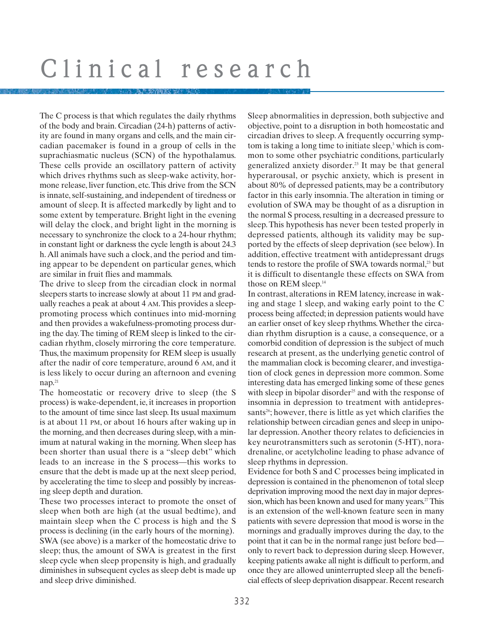The C process is that which regulates the daily rhythms of the body and brain. Circadian (24-h) patterns of activity are found in many organs and cells, and the main circadian pacemaker is found in a group of cells in the suprachiasmatic nucleus (SCN) of the hypothalamus. These cells provide an oscillatory pattern of activity which drives rhythms such as sleep-wake activity, hormone release, liver function, etc.This drive from the SCN is innate, self-sustaining, and independent of tiredness or amount of sleep. It is affected markedly by light and to some extent by temperature. Bright light in the evening will delay the clock, and bright light in the morning is necessary to synchronize the clock to a 24-hour rhythm; in constant light or darkness the cycle length is about 24.3 h.All animals have such a clock, and the period and timing appear to be dependent on particular genes, which are similar in fruit flies and mammals.

The drive to sleep from the circadian clock in normal sleepers starts to increase slowly at about 11 PM and gradually reaches a peak at about 4 AM.This provides a sleeppromoting process which continues into mid-morning and then provides a wakefulness-promoting process during the day.The timing of REM sleep is linked to the circadian rhythm, closely mirroring the core temperature. Thus, the maximum propensity for REM sleep is usually after the nadir of core temperature, around 6 AM, and it is less likely to occur during an afternoon and evening nap.21

The homeostatic or recovery drive to sleep (the S process) is wake-dependent, ie, it increases in proportion to the amount of time since last sleep. Its usual maximum is at about 11 PM, or about 16 hours after waking up in the morning, and then decreases during sleep, with a minimum at natural waking in the morning. When sleep has been shorter than usual there is a "sleep debt" which leads to an increase in the S process—this works to ensure that the debt is made up at the next sleep period, by accelerating the time to sleep and possibly by increasing sleep depth and duration.

These two processes interact to promote the onset of sleep when both are high (at the usual bedtime), and maintain sleep when the C process is high and the S process is declining (in the early hours of the morning). SWA (see above) is a marker of the homeostatic drive to sleep; thus, the amount of SWA is greatest in the first sleep cycle when sleep propensity is high, and gradually diminishes in subsequent cycles as sleep debt is made up and sleep drive diminished.

Sleep abnormalities in depression, both subjective and objective, point to a disruption in both homeostatic and circadian drives to sleep. A frequently occurring symptom is taking a long time to initiate sleep,<sup>3</sup> which is common to some other psychiatric conditions, particularly generalized anxiety disorder.23 It may be that general hyperarousal, or psychic anxiety, which is present in about 80% of depressed patients, may be a contributory factor in this early insomnia. The alteration in timing or evolution of SWA may be thought of as a disruption in the normal S process, resulting in a decreased pressure to sleep. This hypothesis has never been tested properly in depressed patients, although its validity may be supported by the effects of sleep deprivation (see below). In addition, effective treatment with antidepressant drugs tends to restore the profile of SWA towards normal,<sup>23</sup> but it is difficult to disentangle these effects on SWA from those on REM sleep.<sup>14</sup>

In contrast, alterations in REM latency, increase in waking and stage 1 sleep, and waking early point to the C process being affected; in depression patients would have an earlier onset of key sleep rhythms.Whether the circadian rhythm disruption is a cause, a consequence, or a comorbid condition of depression is the subject of much research at present, as the underlying genetic control of the mammalian clock is becoming clearer, and investigation of clock genes in depression more common. Some interesting data has emerged linking some of these genes with sleep in bipolar disorder<sup>25</sup> and with the response of insomnia in depression to treatment with antidepressants<sup>26</sup>; however, there is little as yet which clarifies the relationship between circadian genes and sleep in unipolar depression. Another theory relates to deficiencies in key neurotransmitters such as serotonin (5-HT), noradrenaline, or acetylcholine leading to phase advance of sleep rhythms in depression.

Evidence for both S and C processes being implicated in depression is contained in the phenomenon of total sleep deprivation improving mood the next day in major depression, which has been known and used for many years.<sup>27</sup>This is an extension of the well-known feature seen in many patients with severe depression that mood is worse in the mornings and gradually improves during the day, to the point that it can be in the normal range just before bed only to revert back to depression during sleep. However, keeping patients awake all night is difficult to perform, and once they are allowed uninterrupted sleep all the beneficial effects of sleep deprivation disappear. Recent research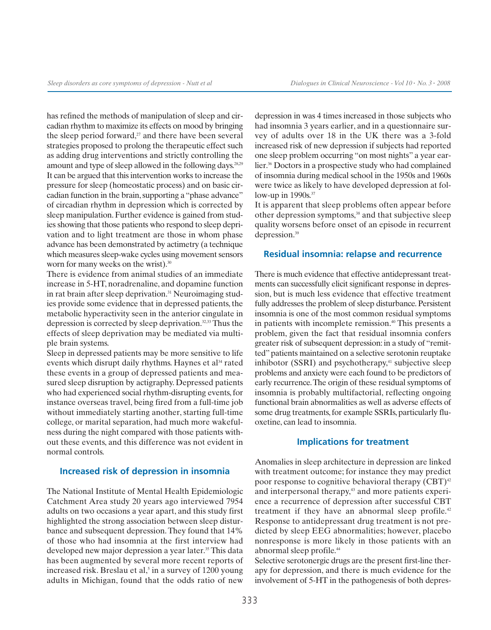has refined the methods of manipulation of sleep and circadian rhythm to maximize its effects on mood by bringing the sleep period forward, $27$  and there have been several strategies proposed to prolong the therapeutic effect such as adding drug interventions and strictly controlling the amount and type of sleep allowed in the following days.28,29 It can be argued that this intervention works to increase the pressure for sleep (homeostatic process) and on basic circadian function in the brain, supporting a "phase advance" of circadian rhythm in depression which is corrected by sleep manipulation. Further evidence is gained from studies showing that those patients who respond to sleep deprivation and to light treatment are those in whom phase advance has been demonstrated by actimetry (a technique which measures sleep-wake cycles using movement sensors worn for many weeks on the wrist). $30$ 

There is evidence from animal studies of an immediate increase in 5-HT, noradrenaline, and dopamine function in rat brain after sleep deprivation.<sup>31</sup> Neuroimaging studies provide some evidence that in depressed patients, the metabolic hyperactivity seen in the anterior cingulate in depression is corrected by sleep deprivation.32,33 Thus the effects of sleep deprivation may be mediated via multiple brain systems.

Sleep in depressed patients may be more sensitive to life events which disrupt daily rhythms. Haynes et al<sup>34</sup> rated these events in a group of depressed patients and measured sleep disruption by actigraphy. Depressed patients who had experienced social rhythm-disrupting events, for instance overseas travel, being fired from a full-time job without immediately starting another, starting full-time college, or marital separation, had much more wakefulness during the night compared with those patients without these events, and this difference was not evident in normal controls.

#### **Increased risk of depression in insomnia**

The National Institute of Mental Health Epidemiologic Catchment Area study 20 years ago interviewed 7954 adults on two occasions a year apart, and this study first highlighted the strong association between sleep disturbance and subsequent depression. They found that 14% of those who had insomnia at the first interview had developed new major depression a year later.<sup>35</sup> This data has been augmented by several more recent reports of increased risk. Breslau et al,<sup>5</sup> in a survey of  $1200$  young adults in Michigan, found that the odds ratio of new

depression in was 4 times increased in those subjects who had insomnia 3 years earlier, and in a questionnaire survey of adults over 18 in the UK there was a 3-fold increased risk of new depression if subjects had reported one sleep problem occurring "on most nights" a year earlier.36 Doctors in a prospective study who had complained of insomnia during medical school in the 1950s and 1960s were twice as likely to have developed depression at follow-up in 1990s.<sup>37</sup>

It is apparent that sleep problems often appear before other depression symptoms,<sup>38</sup> and that subjective sleep quality worsens before onset of an episode in recurrent depression.39

#### **Residual insomnia: relapse and recurrence**

There is much evidence that effective antidepressant treatments can successfully elicit significant response in depression, but is much less evidence that effective treatment fully addresses the problem of sleep disturbance. Persistent insomnia is one of the most common residual symptoms in patients with incomplete remission.<sup>40</sup> This presents a problem, given the fact that residual insomnia confers greater risk of subsequent depression: in a study of "remitted" patients maintained on a selective serotonin reuptake inhibotor (SSRI) and psychotherapy, $41$  subjective sleep problems and anxiety were each found to be predictors of early recurrence.The origin of these residual symptoms of insomnia is probably multifactorial, reflecting ongoing functional brain abnormalities as well as adverse effects of some drug treatments, for example SSRIs, particularly fluoxetine, can lead to insomnia.

#### **Implications for treatment**

Anomalies in sleep architecture in depression are linked with treatment outcome; for instance they may predict poor response to cognitive behavioral therapy  $(CBT)^{42}$ and interpersonal therapy,<sup>43</sup> and more patients experience a recurrence of depression after successful CBT treatment if they have an abnormal sleep profile.<sup>42</sup> Response to antidepressant drug treatment is not predicted by sleep EEG abnormalities; however, placebo nonresponse is more likely in those patients with an abnormal sleep profile.44

Selective serotonergic drugs are the present first-line therapy for depression, and there is much evidence for the involvement of 5-HT in the pathogenesis of both depres-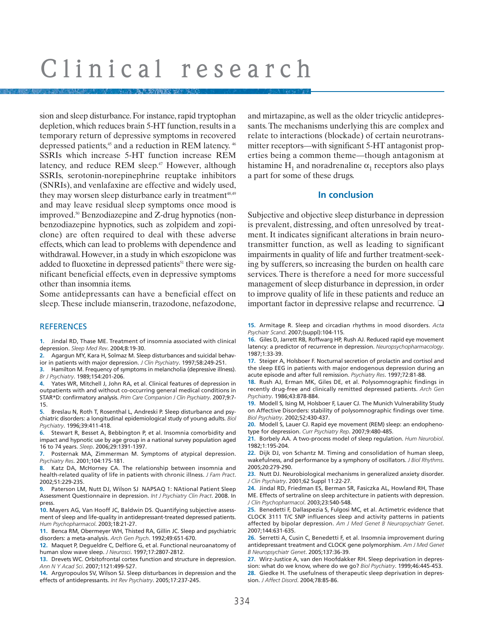sion and sleep disturbance. For instance, rapid tryptophan depletion, which reduces brain 5-HT function, results in a temporary return of depressive symptoms in recovered depressed patients,<sup>45</sup> and a reduction in REM latency.<sup>46</sup> SSRIs which increase 5-HT function increase REM latency, and reduce REM sleep.<sup>47</sup> However, although SSRIs, serotonin-norepinephrine reuptake inhibitors (SNRIs), and venlafaxine are effective and widely used, they may worsen sleep disturbance early in treatment<sup>48,49</sup> and may leave residual sleep symptoms once mood is improved.50 Benzodiazepine and Z-drug hypnotics (nonbenzodiazepine hypnotics, such as zolpidem and zopiclone) are often required to deal with these adverse effects, which can lead to problems with dependence and withdrawal. However, in a study in which eszopiclone was added to fluoxetine in depressed patients<sup>51</sup> there were significant beneficial effects, even in depressive symptoms other than insomnia items.

Some antidepressants can have a beneficial effect on sleep. These include mianserin, trazodone, nefazodone,

#### **REFERENCES**

**1.** Jindal RD, Thase ME. Treatment of insomnia associated with clinical depression. *Sleep Med Rev*. 2004;8:19-30.

**2.** Agargun MY, Kara H, Solmaz M. Sleep disturbances and suicidal behav-

ior in patients with major depression. *J Clin Psychiatry*. 1997;58:249-251.

**3.** Hamilton M. Frequency of symptoms in melancholia (depressive illness). *Br J Psychiatry*. 1989;154:201-206.

**4.** Yates WR, Mitchell J, John RA, et al. Clinical features of depression in outpatients with and without co-occurring general medical conditions in STAR\*D: confirmatory analysis. *Prim Care Companion J Clin Psychiatry*. 2007;9:7- 15.

**5.** Breslau N, Roth T, Rosenthal L, Andreski P. Sleep disturbance and psychiatric disorders: a longitudinal epidemiological study of young adults. *Biol Psychiatry*. 1996;39:411-418.

**6.** Stewart R, Besset A, Bebbington P, et al. Insomnia comorbidity and impact and hypnotic use by age group in a national survey population aged 16 to 74 years. *Sleep*. 2006;29:1391-1397.

**7.** Posternak MA, Zimmerman M. Symptoms of atypical depression. *Psychiatry Res*. 2001;104:175-181.

**8.** Katz DA, McHorney CA. The relationship between insomnia and health-related quality of life in patients with chronic illness. *J Fam Pract*. 2002;51:229-235.

**9.** Paterson LM, Nutt DJ, Wilson SJ NAPSAQ 1: NAtional Patient Sleep Assessment Questionnaire in depression. *Int J Psychiatry Clin Pract*. 2008. In press.

**10.** Mayers AG, Van Hooff JC, Baldwin DS. Quantifying subjective assessment of sleep and life-quality in antidepressant-treated depressed patients. *Hum Psychopharmacol*. 2003;18:21-27.

**11.** Benca RM, Obermeyer WH, Thisted RA, Gillin JC. Sleep and psychiatric disorders: a meta-analysis. *Arch Gen Psych*. 1992;49:651-670.

**12.** Maquet P, Degueldre C, Delfiore G, et al. Functional neuroanatomy of human slow wave sleep. *J Neurosci*. 1997;17:2807-2812.

**13.** Drevets WC. Orbitofrontal cortex function and structure in depression. *Ann N Y Acad Sci*. 2007;1121:499-527.

**14.** Argyropoulos SV, Wilson SJ. Sleep disturbances in depression and the effects of antidepressants. *Int Rev Psychiatry*. 2005;17:237-245.

and mirtazapine, as well as the older tricyclic antidepressants. The mechanisms underlying this are complex and relate to interactions (blockade) of certain neurotransmitter receptors—with significant 5-HT antagonist properties being a common theme—though antagonism at histamine  $H_1$  and noradrenaline  $\alpha_1$  receptors also plays a part for some of these drugs.

#### **In conclusion**

Subjective and objective sleep disturbance in depression is prevalent, distressing, and often unresolved by treatment. It indicates significant alterations in brain neurotransmitter function, as well as leading to significant impairments in quality of life and further treatment-seeking by sufferers, so increasing the burden on health care services. There is therefore a need for more successful management of sleep disturbance in depression, in order to improve quality of life in these patients and reduce an important factor in depressive relapse and recurrence. ❏

**15.** Armitage R. Sleep and circadian rhythms in mood disorders. *Acta Psychiatr Scand*. 2007;(suppl):104-115.

**16.** Giles D, Jarrett RB, Roffwarg HP, Rush AJ. Reduced rapid eye movement latency: a predictor of recurrence in depression. *Neuropsychopharmacology*. 1987;1:33-39.

**17.** Steiger A, Holsboer F. Nocturnal secretion of prolactin and cortisol and the sleep EEG in patients with major endogenous depression during an acute episode and after full remission. *Psychiatry Res*. 1997;72:81-88.

**18.** Rush AJ, Erman MK, Giles DE, et al. Polysomnographic findings in recently drug-free and clinically remitted depressed patients. *Arch Gen Psychiatry*. 1986;43:878-884.

**19.** Modell S, Ising M, Holsboer F, Lauer CJ. The Munich Vulnerability Study on Affective Disorders: stability of polysomnographic findings over time. *Biol Psychiatry*. 2002;52:430-437.

**20.** Modell S, Lauer CJ. Rapid eye movement (REM) sleep: an endophenotype for depression. *Curr Psychiatry Rep*. 2007;9:480-485.

**21.** Borbely AA. A two-process model of sleep regulation. *Hum Neurobiol*. 1982;1:195-204.

**22.** Dijk DJ, von Schantz M. Timing and consolidation of human sleep, wakefulness, and performance by a symphony of oscillators. *J Biol Rhythms*. 2005;20:279-290.

**23.** Nutt DJ. Neurobiological mechanisms in generalized anxiety disorder. *J Clin Psychiatry*. 2001;62 Suppl 11:22-27.

**24.** Jindal RD, Friedman ES, Berman SR, Fasiczka AL, Howland RH, Thase ME. Effects of sertraline on sleep architecture in patients with depression. *J Clin Psychopharmacol*. 2003;23:540-548.

**25.** Benedetti F, Dallaspezia S, Fulgosi MC, et al. Actimetric evidence that CLOCK 3111 T/C SNP influences sleep and activity patterns in patients affected by bipolar depression. *Am J Med Genet B Neuropsychiatr Genet*. 2007;144:631-635.

**26.** Serretti A, Cusin C, Benedetti F, et al. Insomnia improvement during antidepressant treatment and CLOCK gene polymorphism. *Am J Med Genet B Neuropsychiatr Genet*. 2005;137:36-39.

**27.** Wirz-Justice A, van den Hoofdakker RH. Sleep deprivation in depression: what do we know, where do we go? *Biol Psychiatry*. 1999;46:445-453. **28.** Giedke H. The usefulness of therapeutic sleep deprivation in depression. *J Affect Disord*. 2004;78:85-86.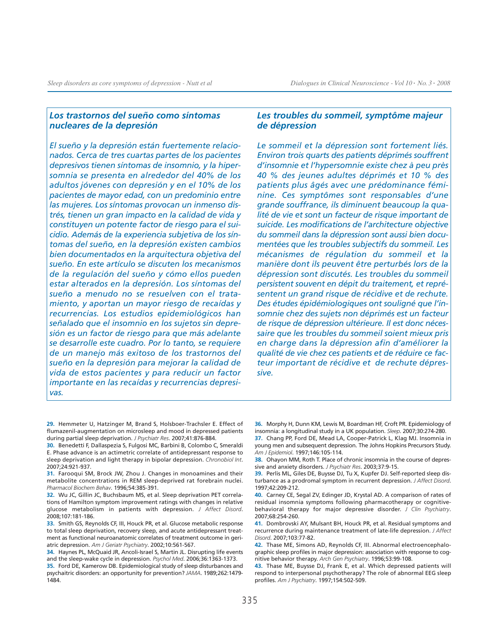#### *Los trastornos del sueño como síntomas nucleares de la depresión*

*El sueño y la depresión están fuertemente relacionados. Cerca de tres cuartas partes de los pacientes depresivos tienen síntomas de insomnio, y la hipersomnia se presenta en alrededor del 40% de los adultos jóvenes con depresión y en el 10% de los pacientes de mayor edad, con un predominio entre las mujeres. Los síntomas provocan un inmenso distrés, tienen un gran impacto en la calidad de vida y constituyen un potente factor de riesgo para el suicidio. Además de la experiencia subjetiva de los síntomas del sueño, en la depresión existen cambios bien documentados en la arquitectura objetiva del sueño. En este artículo se discuten los mecanismos de la regulación del sueño y cómo ellos pueden estar alterados en la depresión. Los síntomas del sueño a menudo no se resuelven con el tratamiento, y aportan un mayor riesgo de recaídas y recurrencias. Los estudios epidemiológicos han señalado que el insomnio en los sujetos sin depresión es un factor de riesgo para que más adelante se desarrolle este cuadro. Por lo tanto, se requiere de un manejo más exitoso de los trastornos del sueño en la depresión para mejorar la calidad de vida de estos pacientes y para reducir un factor importante en las recaídas y recurrencias depresivas.* 

#### *Les troubles du sommeil, symptôme majeur de dépression*

*Le sommeil et la dépression sont fortement liés. Environ trois quarts des patients déprimés souffrent d'insomnie et l'hypersomnie existe chez à peu près 40 % des jeunes adultes déprimés et 10 % des patients plus âgés avec une prédominance féminine. Ces symptômes sont responsables d'une grande souffrance, ils diminuent beaucoup la qualité de vie et sont un facteur de risque important de suicide. Les modifications de l'architecture objective du sommeil dans la dépression sont aussi bien documentées que les troubles subjectifs du sommeil. Les mécanismes de régulation du sommeil et la manière dont ils peuvent être perturbés lors de la dépression sont discutés. Les troubles du sommeil persistent souvent en dépit du traitement, et représentent un grand risque de récidive et de rechute. Des études épidémiologiques ont souligné que l'insomnie chez des sujets non déprimés est un facteur de risque de dépression ultérieure. Il est donc nécessaire que les troubles du sommeil soient mieux pris en charge dans la dépression afin d'améliorer la qualité de vie chez ces patients et de réduire ce facteur important de récidive et de rechute dépressive.* 

- **29.** Hemmeter U, Hatzinger M, Brand S, Holsboer-Trachsler E. Effect of flumazenil-augmentation on microsleep and mood in depressed patients during partial sleep deprivation. *J Psychiatr Res*. 2007;41:876-884.
- **30.** Benedetti F, Dallaspezia S, Fulgosi MC, Barbini B, Colombo C, Smeraldi E. Phase advance is an actimetric correlate of antidepressant response to sleep deprivation and light therapy in bipolar depression. *Chronobiol Int*. 2007;24:921-937.
- **31.** Farooqui SM, Brock JW, Zhou J. Changes in monoamines and their metabolite concentrations in REM sleep-deprived rat forebrain nuclei. *Pharmacol Biochem Behav*. 1996;54:385-391.
- **32.** Wu JC, Gillin JC, Buchsbaum MS, et al. Sleep deprivation PET correlations of Hamilton symptom improvement ratings with changes in relative glucose metabolism in patients with depression. *J Affect Disord*. 2008;107:181-186.
- **33.** Smith GS, Reynolds CF, III, Houck PR, et al. Glucose metabolic response to total sleep deprivation, recovery sleep, and acute antidepressant treatment as functional neuroanatomic correlates of treatment outcome in geriatric depression. *Am J Geriatr Psychiatry*. 2002;10:561-567.
- **34.** Haynes PL, McQuaid JR, Ancoli-Israel S, Martin JL. Disrupting life events and the sleep-wake cycle in depression. *Psychol Med*. 2006;36:1363-1373.
- **35.** Ford DE, Kamerow DB. Epidemiological study of sleep disturbances and psychaitric disorders: an opportunity for prevention? *JAMA*. 1989;262:1479- 1484.

**36.** Morphy H, Dunn KM, Lewis M, Boardman HF, Croft PR. Epidemiology of insomnia: a longitudinal study in a UK population. *Sleep*. 2007;30:274-280.

**37.** Chang PP, Ford DE, Mead LA, Cooper-Patrick L, Klag MJ. Insomnia in young men and subsequent depression. The Johns Hopkins Precursors Study. *Am J Epidemiol*. 1997;146:105-114.

- **38.** Ohayon MM, Roth T. Place of chronic insomnia in the course of depressive and anxiety disorders. *J Psychiatr Res*. 2003;37:9-15.
- **39.** Perlis ML, Giles DE, Buysse DJ, Tu X, Kupfer DJ. Self-reported sleep disturbance as a prodromal symptom in recurrent depression. *J Affect Disord*. 1997;42:209-212.
- **40.** Carney CE, Segal ZV, Edinger JD, Krystal AD. A comparison of rates of residual insomnia symptoms following pharmacotherapy or cognitivebehavioral therapy for major depressive disorder. *J Clin Psychiatry*. 2007;68:254-260.
- **41.** Dombrovski AY, Mulsant BH, Houck PR, et al. Residual symptoms and recurrence during maintenance treatment of late-life depression. *J Affect Disord*. 2007;103:77-82.
- **42.** Thase ME, Simons AD, Reynolds CF, III. Abnormal electroencephalographic sleep profiles in major depression: association with response to cognitive behavior therapy. *Arch Gen Psychiatry*. 1996;53:99-108.
- **43.** Thase ME, Buysse DJ, Frank E, et al. Which depressed patients will respond to interpersonal psychotherapy? The role of abnormal EEG sleep profiles. *Am J Psychiatry*. 1997;154:502-509.